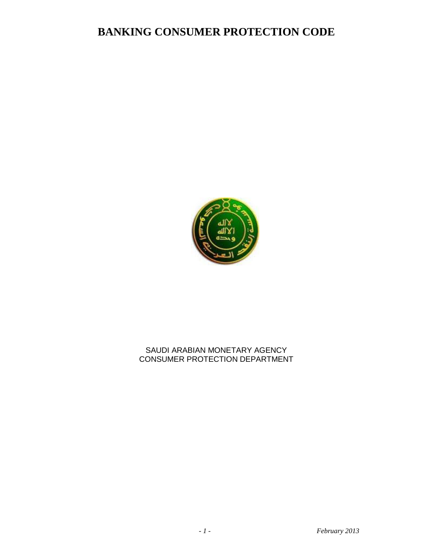

### SAUDI ARABIAN MONETARY AGENCY CONSUMER PROTECTION DEPARTMENT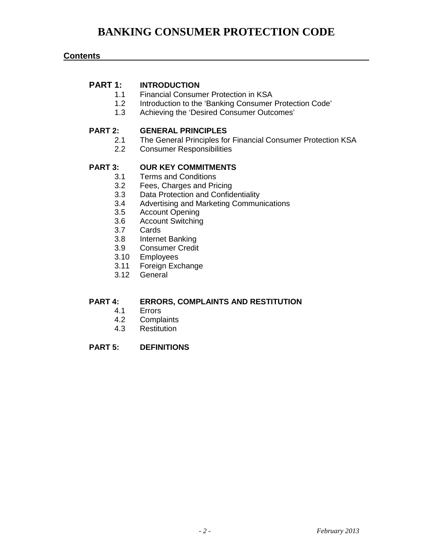### **Contents**

# **PART 1: INTRODUCTION**<br>1.1 Financial Consum

- **Financial Consumer Protection in KSA**
- 1.2 Introduction to the 'Banking Consumer Protection Code'
- 1.3 Achieving the 'Desired Consumer Outcomes'

#### **PART 2: GENERAL PRINCIPLES**

- 2.1 The General Principles for Financial Consumer Protection KSA<br>2.2 Consumer Responsibilities
- **Consumer Responsibilities**

### **PART 3: OUR KEY COMMITMENTS**

- 3.1 Terms and Conditions
- 3.2 Fees, Charges and Pricing
- 3.3 Data Protection and Confidentiality
- 3.4 Advertising and Marketing Communications<br>3.5 Account Opening
- 3.5 Account Opening<br>3.6 Account Switching
- Account Switching
- 3.7 Cards
- 3.8 Internet Banking
- 3.9 Consumer Credit
- 3.10 Employees
- 3.11 Foreign Exchange
- 3.12 General

### **PART 4: ERRORS, COMPLAINTS AND RESTITUTION**

- 4.1 Errors
- 4.2 Complaints
- 4.3 Restitution

#### **PART 5: DEFINITIONS**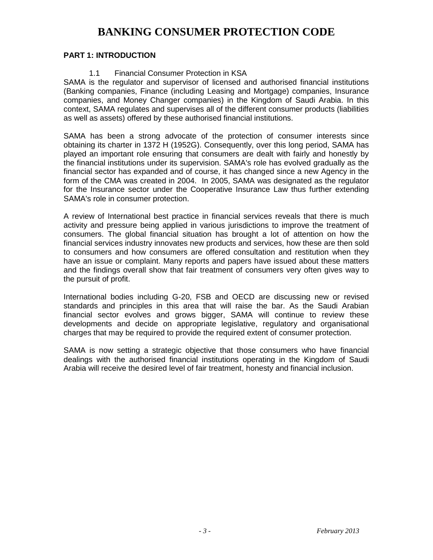### **PART 1: INTRODUCTION**

### 1.1 Financial Consumer Protection in KSA

SAMA is the regulator and supervisor of licensed and authorised financial institutions (Banking companies, Finance (including Leasing and Mortgage) companies, Insurance companies, and Money Changer companies) in the Kingdom of Saudi Arabia. In this context, SAMA regulates and supervises all of the different consumer products (liabilities as well as assets) offered by these authorised financial institutions.

SAMA has been a strong advocate of the protection of consumer interests since obtaining its charter in 1372 H (1952G). Consequently, over this long period, SAMA has played an important role ensuring that consumers are dealt with fairly and honestly by the financial institutions under its supervision. SAMA's role has evolved gradually as the financial sector has expanded and of course, it has changed since a new Agency in the form of the CMA was created in 2004. In 2005, SAMA was designated as the regulator for the Insurance sector under the Cooperative Insurance Law thus further extending SAMA's role in consumer protection.

A review of International best practice in financial services reveals that there is much activity and pressure being applied in various jurisdictions to improve the treatment of consumers. The global financial situation has brought a lot of attention on how the financial services industry innovates new products and services, how these are then sold to consumers and how consumers are offered consultation and restitution when they have an issue or complaint. Many reports and papers have issued about these matters and the findings overall show that fair treatment of consumers very often gives way to the pursuit of profit.

International bodies including G-20, FSB and OECD are discussing new or revised standards and principles in this area that will raise the bar. As the Saudi Arabian financial sector evolves and grows bigger, SAMA will continue to review these developments and decide on appropriate legislative, regulatory and organisational charges that may be required to provide the required extent of consumer protection.

SAMA is now setting a strategic objective that those consumers who have financial dealings with the authorised financial institutions operating in the Kingdom of Saudi Arabia will receive the desired level of fair treatment, honesty and financial inclusion.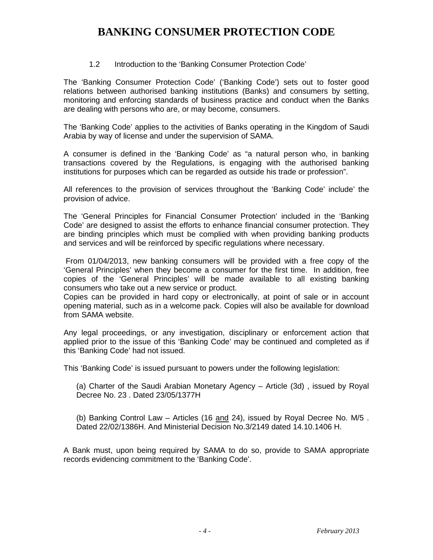### 1.2 Introduction to the 'Banking Consumer Protection Code'

The 'Banking Consumer Protection Code' ('Banking Code') sets out to foster good relations between authorised banking institutions (Banks) and consumers by setting, monitoring and enforcing standards of business practice and conduct when the Banks are dealing with persons who are, or may become, consumers.

The 'Banking Code' applies to the activities of Banks operating in the Kingdom of Saudi Arabia by way of license and under the supervision of SAMA.

A consumer is defined in the 'Banking Code' as "a natural person who, in banking transactions covered by the Regulations, is engaging with the authorised banking institutions for purposes which can be regarded as outside his trade or profession".

All references to the provision of services throughout the 'Banking Code' include' the provision of advice.

The 'General Principles for Financial Consumer Protection' included in the 'Banking Code' are designed to assist the efforts to enhance financial consumer protection. They are binding principles which must be complied with when providing banking products and services and will be reinforced by specific regulations where necessary.

From 01/04/2013, new banking consumers will be provided with a free copy of the 'General Principles' when they become a consumer for the first time. In addition, free copies of the 'General Principles' will be made available to all existing banking consumers who take out a new service or product.

Copies can be provided in hard copy or electronically, at point of sale or in account opening material, such as in a welcome pack. Copies will also be available for download from SAMA website.

Any legal proceedings, or any investigation, disciplinary or enforcement action that applied prior to the issue of this 'Banking Code' may be continued and completed as if this 'Banking Code' had not issued.

This 'Banking Code' is issued pursuant to powers under the following legislation:

(a) Charter of the Saudi Arabian Monetary Agency – Article (3d) , issued by Royal Decree No. 23 . Dated 23/05/1377H

(b) Banking Control Law – Articles (16 and 24), issued by Royal Decree No. M/5 . Dated 22/02/1386H. And Ministerial Decision No.3/2149 dated 14.10.1406 H.

A Bank must, upon being required by SAMA to do so, provide to SAMA appropriate records evidencing commitment to the 'Banking Code'.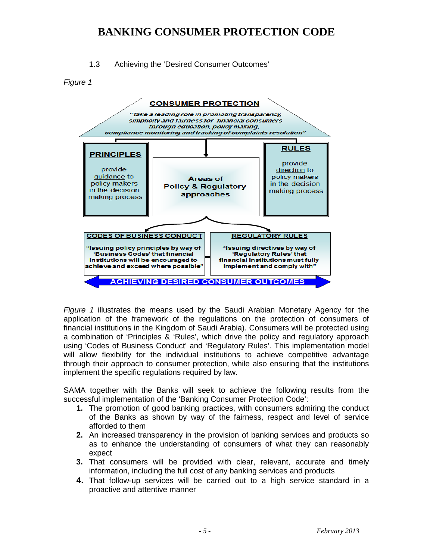1.3 Achieving the 'Desired Consumer Outcomes'

*Figure 1*



*Figure 1* illustrates the means used by the Saudi Arabian Monetary Agency for the application of the framework of the regulations on the protection of consumers of financial institutions in the Kingdom of Saudi Arabia). Consumers will be protected using a combination of 'Principles & 'Rules', which drive the policy and regulatory approach using 'Codes of Business Conduct' and 'Regulatory Rules'. This implementation model will allow flexibility for the individual institutions to achieve competitive advantage through their approach to consumer protection, while also ensuring that the institutions implement the specific regulations required by law.

SAMA together with the Banks will seek to achieve the following results from the successful implementation of the 'Banking Consumer Protection Code':

- **1.** The promotion of good banking practices, with consumers admiring the conduct of the Banks as shown by way of the fairness, respect and level of service afforded to them
- **2.** An increased transparency in the provision of banking services and products so as to enhance the understanding of consumers of what they can reasonably expect
- **3.** That consumers will be provided with clear, relevant, accurate and timely information, including the full cost of any banking services and products
- **4.** That follow-up services will be carried out to a high service standard in a proactive and attentive manner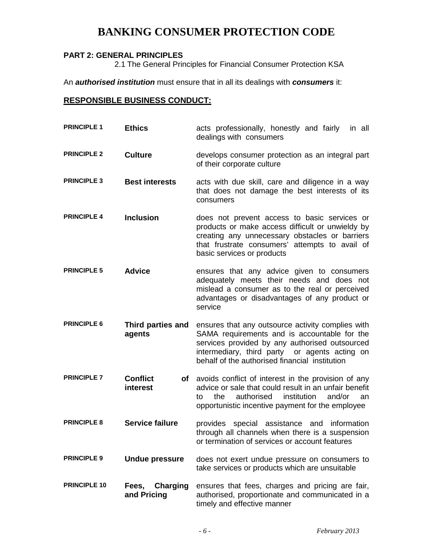### **PART 2: GENERAL PRINCIPLES**

2.1 The General Principles for Financial Consumer Protection KSA

An *authorised institution* must ensure that in all its dealings with *consumers* it:

### **RESPONSIBLE BUSINESS CONDUCT:**

| <b>PRINCIPLE 1</b>  | <b>Ethics</b>                           | acts professionally, honestly and fairly<br>in all<br>dealings with consumers                                                                                                                                                                          |
|---------------------|-----------------------------------------|--------------------------------------------------------------------------------------------------------------------------------------------------------------------------------------------------------------------------------------------------------|
| <b>PRINCIPLE 2</b>  | <b>Culture</b>                          | develops consumer protection as an integral part<br>of their corporate culture                                                                                                                                                                         |
| <b>PRINCIPLE 3</b>  | <b>Best interests</b>                   | acts with due skill, care and diligence in a way<br>that does not damage the best interests of its<br>consumers                                                                                                                                        |
| <b>PRINCIPLE 4</b>  | <b>Inclusion</b>                        | does not prevent access to basic services or<br>products or make access difficult or unwieldy by<br>creating any unnecessary obstacles or barriers<br>that frustrate consumers' attempts to avail of<br>basic services or products                     |
| <b>PRINCIPLE 5</b>  | <b>Advice</b>                           | ensures that any advice given to consumers<br>adequately meets their needs and does not<br>mislead a consumer as to the real or perceived<br>advantages or disadvantages of any product or<br>service                                                  |
| <b>PRINCIPLE 6</b>  | Third parties and<br>agents             | ensures that any outsource activity complies with<br>SAMA requirements and is accountable for the<br>services provided by any authorised outsourced<br>intermediary, third party or agents acting on<br>behalf of the authorised financial institution |
| <b>PRINCIPLE 7</b>  | <b>Conflict</b><br>interest             | of avoids conflict of interest in the provision of any<br>advice or sale that could result in an unfair benefit<br>institution<br>the<br>authorised<br>and/or<br>to<br>an<br>opportunistic incentive payment for the employee                          |
| <b>PRINCIPLE 8</b>  | <b>Service failure</b>                  | provides special assistance and information<br>through all channels when there is a suspension<br>or termination of services or account features                                                                                                       |
| <b>PRINCIPLE 9</b>  | <b>Undue pressure</b>                   | does not exert undue pressure on consumers to<br>take services or products which are unsuitable                                                                                                                                                        |
| <b>PRINCIPLE 10</b> | <b>Charging</b><br>Fees,<br>and Pricing | ensures that fees, charges and pricing are fair,<br>authorised, proportionate and communicated in a<br>timely and effective manner                                                                                                                     |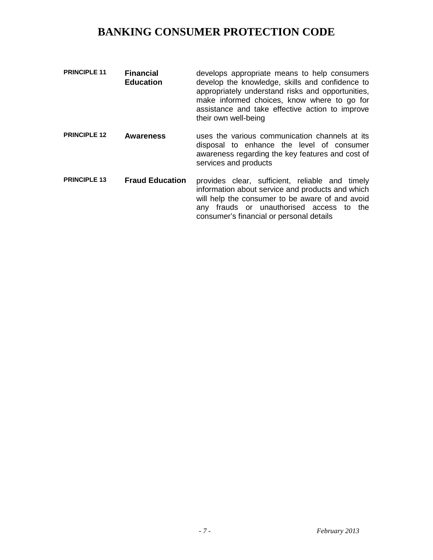| <b>PRINCIPLE 11</b> | <b>Financial</b><br><b>Education</b> | develops appropriate means to help consumers<br>develop the knowledge, skills and confidence to<br>appropriately understand risks and opportunities,<br>make informed choices, know where to go for<br>assistance and take effective action to improve<br>their own well-being |
|---------------------|--------------------------------------|--------------------------------------------------------------------------------------------------------------------------------------------------------------------------------------------------------------------------------------------------------------------------------|
|                     |                                      |                                                                                                                                                                                                                                                                                |

- **PRINCIPLE 12 Awareness** uses the various communication channels at its disposal to enhance the level of consumer awareness regarding the key features and cost of services and products
- **PRINCIPLE 13 Fraud Education** provides clear, sufficient, reliable and timely information about service and products and which will help the consumer to be aware of and avoid any frauds or unauthorised access to the consumer's financial or personal details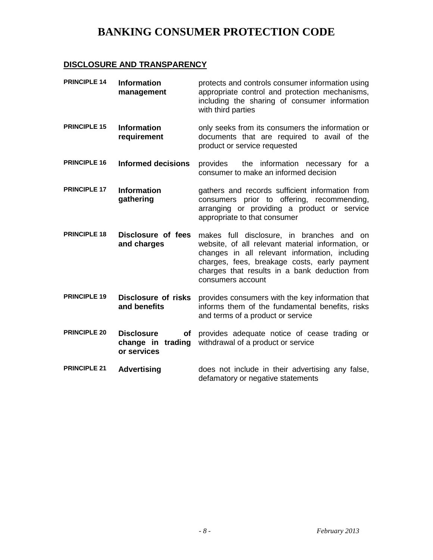### **DISCLOSURE AND TRANSPARENCY**

| <b>PRINCIPLE 14</b> | <b>Information</b><br>management                            | protects and controls consumer information using<br>appropriate control and protection mechanisms,<br>including the sharing of consumer information<br>with third parties                                                                                              |
|---------------------|-------------------------------------------------------------|------------------------------------------------------------------------------------------------------------------------------------------------------------------------------------------------------------------------------------------------------------------------|
| <b>PRINCIPLE 15</b> | <b>Information</b><br>requirement                           | only seeks from its consumers the information or<br>documents that are required to avail of the<br>product or service requested                                                                                                                                        |
| <b>PRINCIPLE 16</b> | <b>Informed decisions</b>                                   | the information necessary for a<br>provides<br>consumer to make an informed decision                                                                                                                                                                                   |
| <b>PRINCIPLE 17</b> | <b>Information</b><br>gathering                             | gathers and records sufficient information from<br>consumers prior to offering, recommending,<br>arranging or providing a product or service<br>appropriate to that consumer                                                                                           |
| <b>PRINCIPLE 18</b> | Disclosure of fees<br>and charges                           | makes full disclosure, in branches and on<br>website, of all relevant material information, or<br>changes in all relevant information, including<br>charges, fees, breakage costs, early payment<br>charges that results in a bank deduction from<br>consumers account |
| <b>PRINCIPLE 19</b> | <b>Disclosure of risks</b><br>and benefits                  | provides consumers with the key information that<br>informs them of the fundamental benefits, risks<br>and terms of a product or service                                                                                                                               |
| <b>PRINCIPLE 20</b> | <b>Disclosure</b><br>of<br>change in trading<br>or services | provides adequate notice of cease trading or<br>withdrawal of a product or service                                                                                                                                                                                     |
| <b>PRINCIPLE 21</b> | <b>Advertising</b>                                          | does not include in their advertising any false,<br>defamatory or negative statements                                                                                                                                                                                  |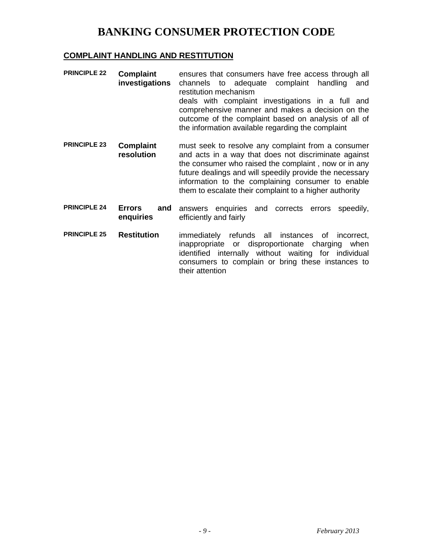### **COMPLAINT HANDLING AND RESTITUTION**

| <b>PRINCIPLE 22</b> | <b>Complaint</b><br>investigations | ensures that consumers have free access through all<br>channels to adequate complaint handling<br>and<br>restitution mechanism<br>deals with complaint investigations in a full and<br>comprehensive manner and makes a decision on the<br>outcome of the complaint based on analysis of all of<br>the information available regarding the complaint |
|---------------------|------------------------------------|------------------------------------------------------------------------------------------------------------------------------------------------------------------------------------------------------------------------------------------------------------------------------------------------------------------------------------------------------|
| <b>PRINCIPLE 23</b> | <b>Complaint</b><br>resolution     | must seek to resolve any complaint from a consumer<br>and acts in a way that does not discriminate against<br>the consumer who raised the complaint, now or in any<br>future dealings and will speedily provide the necessary<br>information to the complaining consumer to enable<br>them to escalate their complaint to a higher authority         |
| <b>PRINCIPLE 24</b> | Errors<br>and<br>enquiries         | answers enquiries and corrects errors speedily,<br>efficiently and fairly                                                                                                                                                                                                                                                                            |
| <b>PRINCIPLE 25</b> | <b>Restitution</b>                 | refunds all instances of incorrect,<br>immediately<br>inappropriate or disproportionate charging when<br>identified internally without waiting for individual<br>consumers to complain or bring these instances to<br>their attention                                                                                                                |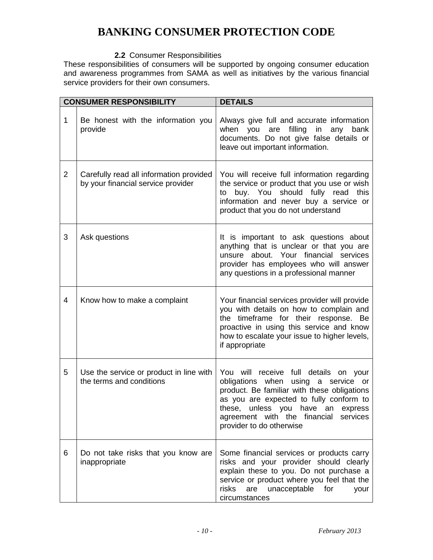### **2.2** Consumer Responsibilities

These responsibilities of consumers will be supported by ongoing consumer education and awareness programmes from SAMA as well as initiatives by the various financial service providers for their own consumers.

|   | <b>CONSUMER RESPONSIBILITY</b>                                                | <b>DETAILS</b>                                                                                                                                                                                                                                                                   |
|---|-------------------------------------------------------------------------------|----------------------------------------------------------------------------------------------------------------------------------------------------------------------------------------------------------------------------------------------------------------------------------|
| 1 | Be honest with the information you<br>provide                                 | Always give full and accurate information<br>when you<br>filling<br>in<br>any<br>are<br>bank<br>documents. Do not give false details or<br>leave out important information.                                                                                                      |
| 2 | Carefully read all information provided<br>by your financial service provider | You will receive full information regarding<br>the service or product that you use or wish<br>buy. You should fully read<br>this<br>to<br>information and never buy a service or<br>product that you do not understand                                                           |
| 3 | Ask questions                                                                 | It is important to ask questions about<br>anything that is unclear or that you are<br>unsure about. Your financial services<br>provider has employees who will answer<br>any questions in a professional manner                                                                  |
| 4 | Know how to make a complaint                                                  | Your financial services provider will provide<br>you with details on how to complain and<br>the timeframe for their response. Be<br>proactive in using this service and know<br>how to escalate your issue to higher levels,<br>if appropriate                                   |
| 5 | Use the service or product in line with<br>the terms and conditions           | You will receive full details on your<br>obligations when using a service or<br>product. Be familiar with these obligations<br>as you are expected to fully conform to<br>these, unless you have an express<br>agreement with the financial services<br>provider to do otherwise |
| 6 | Do not take risks that you know are<br>inappropriate                          | Some financial services or products carry<br>risks and your provider should clearly<br>explain these to you. Do not purchase a<br>service or product where you feel that the<br>are<br>unacceptable<br>risks<br>for<br>your<br>circumstances                                     |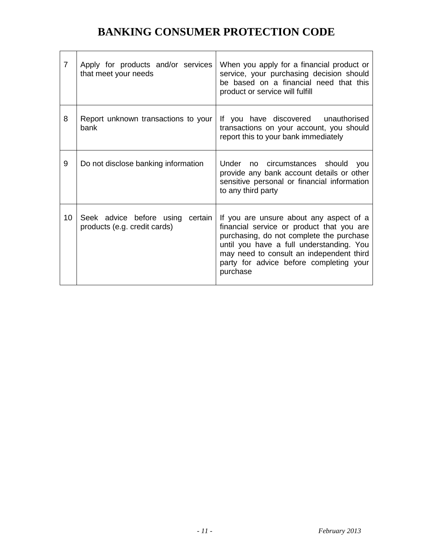| 7  | Apply for products and/or services<br>that meet your needs       | When you apply for a financial product or<br>service, your purchasing decision should<br>be based on a financial need that this<br>product or service will fulfill                                                                                                              |
|----|------------------------------------------------------------------|---------------------------------------------------------------------------------------------------------------------------------------------------------------------------------------------------------------------------------------------------------------------------------|
| 8  | Report unknown transactions to your<br>bank                      | If you have discovered unauthorised<br>transactions on your account, you should<br>report this to your bank immediately                                                                                                                                                         |
| 9  | Do not disclose banking information                              | Under no circumstances should<br><b>VOU</b><br>provide any bank account details or other<br>sensitive personal or financial information<br>to any third party                                                                                                                   |
| 10 | Seek advice before using certain<br>products (e.g. credit cards) | If you are unsure about any aspect of a<br>financial service or product that you are<br>purchasing, do not complete the purchase<br>until you have a full understanding. You<br>may need to consult an independent third<br>party for advice before completing your<br>purchase |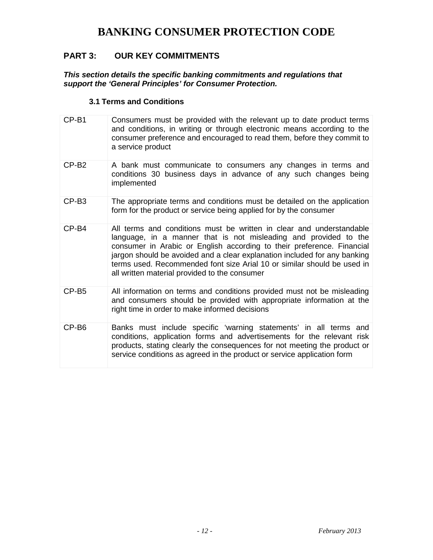### **PART 3: OUR KEY COMMITMENTS**

*This section details the specific banking commitments and regulations that support the 'General Principles' for Consumer Protection.*

### **3.1 Terms and Conditions**

| CP-B1             | Consumers must be provided with the relevant up to date product terms<br>and conditions, in writing or through electronic means according to the<br>consumer preference and encouraged to read them, before they commit to<br>a service product                                                                                                                                                                             |
|-------------------|-----------------------------------------------------------------------------------------------------------------------------------------------------------------------------------------------------------------------------------------------------------------------------------------------------------------------------------------------------------------------------------------------------------------------------|
| CP-B <sub>2</sub> | A bank must communicate to consumers any changes in terms and<br>conditions 30 business days in advance of any such changes being<br>implemented                                                                                                                                                                                                                                                                            |
| CP-B <sub>3</sub> | The appropriate terms and conditions must be detailed on the application<br>form for the product or service being applied for by the consumer                                                                                                                                                                                                                                                                               |
| $CP-B4$           | All terms and conditions must be written in clear and understandable<br>language, in a manner that is not misleading and provided to the<br>consumer in Arabic or English according to their preference. Financial<br>jargon should be avoided and a clear explanation included for any banking<br>terms used. Recommended font size Arial 10 or similar should be used in<br>all written material provided to the consumer |
| CP-B <sub>5</sub> | All information on terms and conditions provided must not be misleading<br>and consumers should be provided with appropriate information at the<br>right time in order to make informed decisions                                                                                                                                                                                                                           |
| CP-B <sub>6</sub> | Banks must include specific 'warning statements' in all terms and<br>conditions, application forms and advertisements for the relevant risk<br>products, stating clearly the consequences for not meeting the product or<br>service conditions as agreed in the product or service application form                                                                                                                         |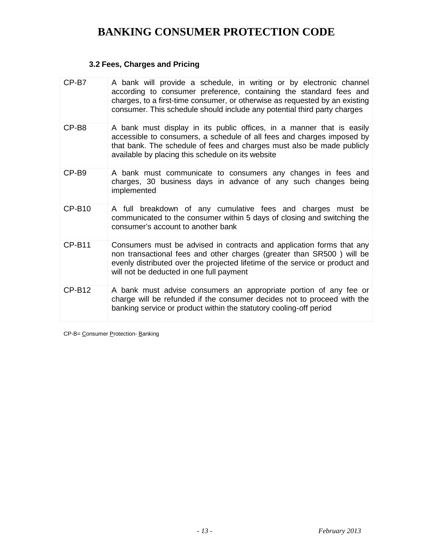### **3.2 Fees, Charges and Pricing**

| CP-B7         | A bank will provide a schedule, in writing or by electronic channel<br>according to consumer preference, containing the standard fees and<br>charges, to a first-time consumer, or otherwise as requested by an existing<br>consumer. This schedule should include any potential third party charges |
|---------------|------------------------------------------------------------------------------------------------------------------------------------------------------------------------------------------------------------------------------------------------------------------------------------------------------|
| CP-B8         | A bank must display in its public offices, in a manner that is easily<br>accessible to consumers, a schedule of all fees and charges imposed by<br>that bank. The schedule of fees and charges must also be made publicly<br>available by placing this schedule on its website                       |
| CP-B9         | A bank must communicate to consumers any changes in fees and<br>charges, 30 business days in advance of any such changes being<br>implemented                                                                                                                                                        |
| $CP-B10$      | A full breakdown of any cumulative fees and charges must be<br>communicated to the consumer within 5 days of closing and switching the<br>consumer's account to another bank                                                                                                                         |
| $CP-B11$      | Consumers must be advised in contracts and application forms that any<br>non transactional fees and other charges (greater than SR500) will be<br>evenly distributed over the projected lifetime of the service or product and<br>will not be deducted in one full payment                           |
| <b>CP-B12</b> | A bank must advise consumers an appropriate portion of any fee or<br>charge will be refunded if the consumer decides not to proceed with the<br>banking service or product within the statutory cooling-off period                                                                                   |

CP-B= Consumer Protection- Banking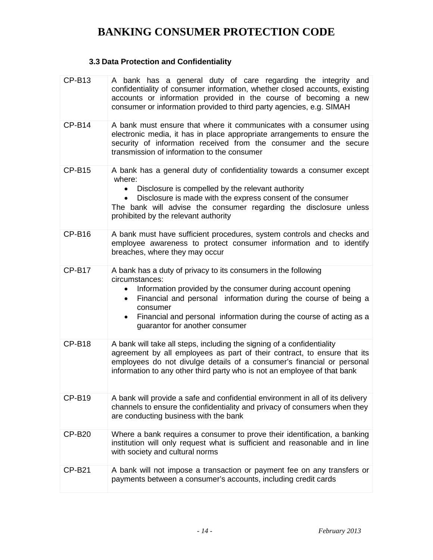### **3.3 Data Protection and Confidentiality**

| $CP-B13$      | A bank has a general duty of care regarding the integrity and<br>confidentiality of consumer information, whether closed accounts, existing<br>accounts or information provided in the course of becoming a new<br>consumer or information provided to third party agencies, e.g. SIMAH                                                                                        |
|---------------|--------------------------------------------------------------------------------------------------------------------------------------------------------------------------------------------------------------------------------------------------------------------------------------------------------------------------------------------------------------------------------|
| $CP-B14$      | A bank must ensure that where it communicates with a consumer using<br>electronic media, it has in place appropriate arrangements to ensure the<br>security of information received from the consumer and the secure<br>transmission of information to the consumer                                                                                                            |
| $CP-B15$      | A bank has a general duty of confidentiality towards a consumer except<br>where:<br>Disclosure is compelled by the relevant authority<br>Disclosure is made with the express consent of the consumer<br>The bank will advise the consumer regarding the disclosure unless<br>prohibited by the relevant authority                                                              |
| $CP-B16$      | A bank must have sufficient procedures, system controls and checks and<br>employee awareness to protect consumer information and to identify<br>breaches, where they may occur                                                                                                                                                                                                 |
| $CP-B17$      | A bank has a duty of privacy to its consumers in the following<br>circumstances:<br>Information provided by the consumer during account opening<br>$\bullet$<br>Financial and personal information during the course of being a<br>$\bullet$<br>consumer<br>Financial and personal information during the course of acting as a<br>$\bullet$<br>guarantor for another consumer |
| $CP-B18$      | A bank will take all steps, including the signing of a confidentiality<br>agreement by all employees as part of their contract, to ensure that its<br>employees do not divulge details of a consumer's financial or personal<br>information to any other third party who is not an employee of that bank                                                                       |
| <b>CP-B19</b> | A bank will provide a safe and confidential environment in all of its delivery<br>channels to ensure the confidentiality and privacy of consumers when they<br>are conducting business with the bank                                                                                                                                                                           |
| <b>CP-B20</b> | Where a bank requires a consumer to prove their identification, a banking<br>institution will only request what is sufficient and reasonable and in line<br>with society and cultural norms                                                                                                                                                                                    |
| <b>CP-B21</b> | A bank will not impose a transaction or payment fee on any transfers or<br>payments between a consumer's accounts, including credit cards                                                                                                                                                                                                                                      |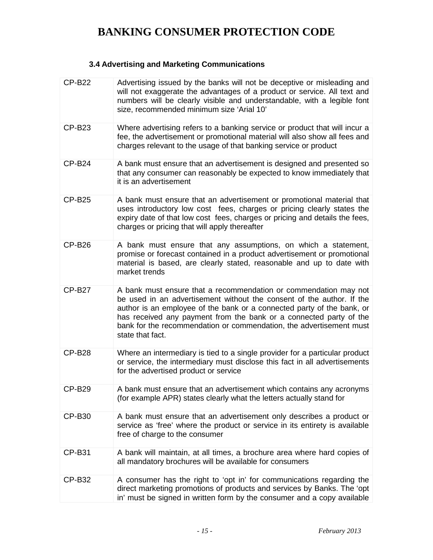### **3.4 Advertising and Marketing Communications**

| <b>CP-B22</b> | Advertising issued by the banks will not be deceptive or misleading and<br>will not exaggerate the advantages of a product or service. All text and<br>numbers will be clearly visible and understandable, with a legible font<br>size, recommended minimum size 'Arial 10'                                                                                                          |
|---------------|--------------------------------------------------------------------------------------------------------------------------------------------------------------------------------------------------------------------------------------------------------------------------------------------------------------------------------------------------------------------------------------|
| <b>CP-B23</b> | Where advertising refers to a banking service or product that will incur a<br>fee, the advertisement or promotional material will also show all fees and<br>charges relevant to the usage of that banking service or product                                                                                                                                                         |
| $CP-B24$      | A bank must ensure that an advertisement is designed and presented so<br>that any consumer can reasonably be expected to know immediately that<br>it is an advertisement                                                                                                                                                                                                             |
| <b>CP-B25</b> | A bank must ensure that an advertisement or promotional material that<br>uses introductory low cost fees, charges or pricing clearly states the<br>expiry date of that low cost fees, charges or pricing and details the fees,<br>charges or pricing that will apply thereafter                                                                                                      |
| $CP-B26$      | A bank must ensure that any assumptions, on which a statement,<br>promise or forecast contained in a product advertisement or promotional<br>material is based, are clearly stated, reasonable and up to date with<br>market trends                                                                                                                                                  |
| <b>CP-B27</b> | A bank must ensure that a recommendation or commendation may not<br>be used in an advertisement without the consent of the author. If the<br>author is an employee of the bank or a connected party of the bank, or<br>has received any payment from the bank or a connected party of the<br>bank for the recommendation or commendation, the advertisement must<br>state that fact. |
| <b>CP-B28</b> | Where an intermediary is tied to a single provider for a particular product<br>or service, the intermediary must disclose this fact in all advertisements<br>for the advertised product or service                                                                                                                                                                                   |
| <b>CP-B29</b> | A bank must ensure that an advertisement which contains any acronyms<br>(for example APR) states clearly what the letters actually stand for                                                                                                                                                                                                                                         |
| <b>CP-B30</b> | A bank must ensure that an advertisement only describes a product or<br>service as 'free' where the product or service in its entirety is available<br>free of charge to the consumer                                                                                                                                                                                                |
| <b>CP-B31</b> | A bank will maintain, at all times, a brochure area where hard copies of<br>all mandatory brochures will be available for consumers                                                                                                                                                                                                                                                  |
| <b>CP-B32</b> | A consumer has the right to 'opt in' for communications regarding the<br>direct marketing promotions of products and services by Banks. The 'opt<br>in' must be signed in written form by the consumer and a copy available                                                                                                                                                          |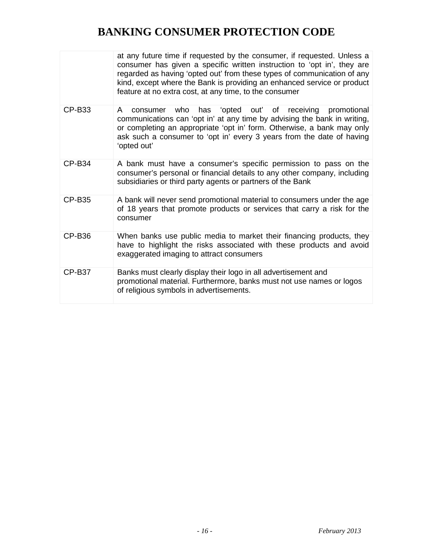|               | at any future time if requested by the consumer, if requested. Unless a<br>consumer has given a specific written instruction to 'opt in', they are<br>regarded as having 'opted out' from these types of communication of any<br>kind, except where the Bank is providing an enhanced service or product<br>feature at no extra cost, at any time, to the consumer |
|---------------|--------------------------------------------------------------------------------------------------------------------------------------------------------------------------------------------------------------------------------------------------------------------------------------------------------------------------------------------------------------------|
| <b>CP-B33</b> | who has 'opted out' of receiving<br>promotional<br>A<br>consumer<br>communications can 'opt in' at any time by advising the bank in writing,<br>or completing an appropriate 'opt in' form. Otherwise, a bank may only<br>ask such a consumer to 'opt in' every 3 years from the date of having<br>'opted out'                                                     |
| <b>CP-B34</b> | A bank must have a consumer's specific permission to pass on the<br>consumer's personal or financial details to any other company, including<br>subsidiaries or third party agents or partners of the Bank                                                                                                                                                         |
| <b>CP-B35</b> | A bank will never send promotional material to consumers under the age<br>of 18 years that promote products or services that carry a risk for the<br>consumer                                                                                                                                                                                                      |
| <b>CP-B36</b> | When banks use public media to market their financing products, they<br>have to highlight the risks associated with these products and avoid<br>exaggerated imaging to attract consumers                                                                                                                                                                           |
| <b>CP-B37</b> | Banks must clearly display their logo in all advertisement and<br>promotional material. Furthermore, banks must not use names or logos<br>of religious symbols in advertisements.                                                                                                                                                                                  |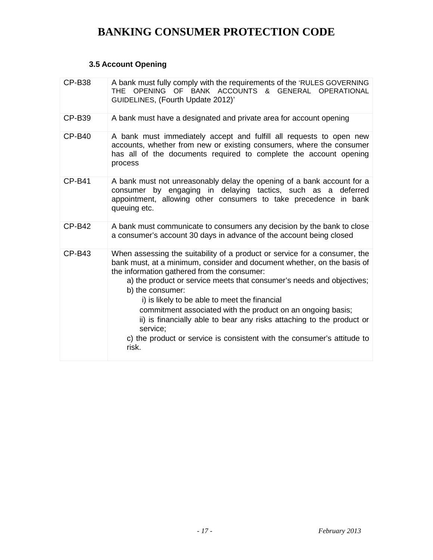### **3.5 Account Opening**

| <b>CP-B38</b> | A bank must fully comply with the requirements of the 'RULES GOVERNING<br>THE OPENING OF BANK ACCOUNTS & GENERAL OPERATIONAL<br>GUIDELINES, (Fourth Update 2012)'                                                                                                                                                                                                                                                                                                                                                                                                                          |
|---------------|--------------------------------------------------------------------------------------------------------------------------------------------------------------------------------------------------------------------------------------------------------------------------------------------------------------------------------------------------------------------------------------------------------------------------------------------------------------------------------------------------------------------------------------------------------------------------------------------|
| <b>CP-B39</b> | A bank must have a designated and private area for account opening                                                                                                                                                                                                                                                                                                                                                                                                                                                                                                                         |
| <b>CP-B40</b> | A bank must immediately accept and fulfill all requests to open new<br>accounts, whether from new or existing consumers, where the consumer<br>has all of the documents required to complete the account opening<br>process                                                                                                                                                                                                                                                                                                                                                                |
| <b>CP-B41</b> | A bank must not unreasonably delay the opening of a bank account for a<br>consumer by engaging in delaying tactics, such as a deferred<br>appointment, allowing other consumers to take precedence in bank<br>queuing etc.                                                                                                                                                                                                                                                                                                                                                                 |
| $CP-B42$      | A bank must communicate to consumers any decision by the bank to close<br>a consumer's account 30 days in advance of the account being closed                                                                                                                                                                                                                                                                                                                                                                                                                                              |
| <b>CP-B43</b> | When assessing the suitability of a product or service for a consumer, the<br>bank must, at a minimum, consider and document whether, on the basis of<br>the information gathered from the consumer:<br>a) the product or service meets that consumer's needs and objectives;<br>b) the consumer:<br>i) is likely to be able to meet the financial<br>commitment associated with the product on an ongoing basis;<br>ii) is financially able to bear any risks attaching to the product or<br>service:<br>c) the product or service is consistent with the consumer's attitude to<br>risk. |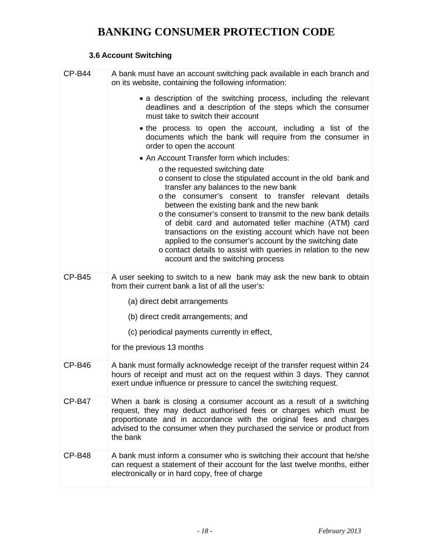### **3.6 Account Switching**

| <b>CP-B44</b> | A bank must have an account switching pack available in each branch and<br>on its website, containing the following information:                                                                                                                                                                                                                                                                                                                                                                                                                                                                        |
|---------------|---------------------------------------------------------------------------------------------------------------------------------------------------------------------------------------------------------------------------------------------------------------------------------------------------------------------------------------------------------------------------------------------------------------------------------------------------------------------------------------------------------------------------------------------------------------------------------------------------------|
|               | • a description of the switching process, including the relevant<br>deadlines and a description of the steps which the consumer<br>must take to switch their account                                                                                                                                                                                                                                                                                                                                                                                                                                    |
|               | • the process to open the account, including a list of the<br>documents which the bank will require from the consumer in<br>order to open the account                                                                                                                                                                                                                                                                                                                                                                                                                                                   |
|               | • An Account Transfer form which includes:                                                                                                                                                                                                                                                                                                                                                                                                                                                                                                                                                              |
|               | o the requested switching date<br>o consent to close the stipulated account in the old bank and<br>transfer any balances to the new bank<br>o the consumer's consent to transfer relevant details<br>between the existing bank and the new bank<br>o the consumer's consent to transmit to the new bank details<br>of debit card and automated teller machine (ATM) card<br>transactions on the existing account which have not been<br>applied to the consumer's account by the switching date<br>o contact details to assist with queries in relation to the new<br>account and the switching process |
| $CP-B45$      | A user seeking to switch to a new bank may ask the new bank to obtain                                                                                                                                                                                                                                                                                                                                                                                                                                                                                                                                   |
|               | from their current bank a list of all the user's:                                                                                                                                                                                                                                                                                                                                                                                                                                                                                                                                                       |
|               | (a) direct debit arrangements                                                                                                                                                                                                                                                                                                                                                                                                                                                                                                                                                                           |
|               | (b) direct credit arrangements; and                                                                                                                                                                                                                                                                                                                                                                                                                                                                                                                                                                     |
|               | (c) periodical payments currently in effect,                                                                                                                                                                                                                                                                                                                                                                                                                                                                                                                                                            |
|               | for the previous 13 months                                                                                                                                                                                                                                                                                                                                                                                                                                                                                                                                                                              |
| <b>CP-B46</b> | A bank must formally acknowledge receipt of the transfer request within 24<br>hours of receipt and must act on the request within 3 days. They cannot<br>exert undue influence or pressure to cancel the switching request.                                                                                                                                                                                                                                                                                                                                                                             |
| <b>CP-B47</b> | When a bank is closing a consumer account as a result of a switching<br>request, they may deduct authorised fees or charges which must be<br>proportionate and in accordance with the original fees and charges<br>advised to the consumer when they purchased the service or product from<br>the bank                                                                                                                                                                                                                                                                                                  |
| <b>CP-B48</b> | A bank must inform a consumer who is switching their account that he/she<br>can request a statement of their account for the last twelve months, either<br>electronically or in hard copy, free of charge                                                                                                                                                                                                                                                                                                                                                                                               |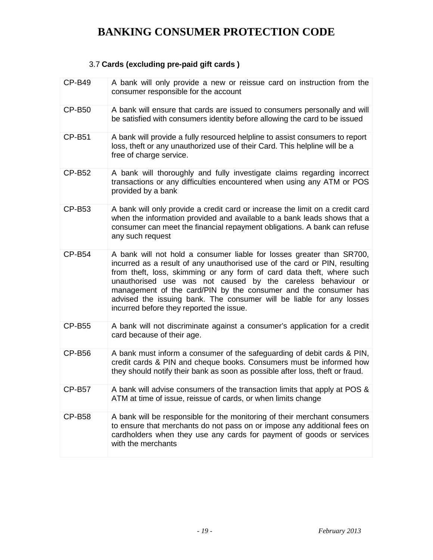### 3.7 **Cards (excluding pre-paid gift cards )**

| <b>CP-B49</b> | A bank will only provide a new or reissue card on instruction from the<br>consumer responsible for the account                                                                                                                                                                                                                                                                                                                                                                      |
|---------------|-------------------------------------------------------------------------------------------------------------------------------------------------------------------------------------------------------------------------------------------------------------------------------------------------------------------------------------------------------------------------------------------------------------------------------------------------------------------------------------|
| <b>CP-B50</b> | A bank will ensure that cards are issued to consumers personally and will<br>be satisfied with consumers identity before allowing the card to be issued                                                                                                                                                                                                                                                                                                                             |
| <b>CP-B51</b> | A bank will provide a fully resourced helpline to assist consumers to report<br>loss, theft or any unauthorized use of their Card. This helpline will be a<br>free of charge service.                                                                                                                                                                                                                                                                                               |
| <b>CP-B52</b> | A bank will thoroughly and fully investigate claims regarding incorrect<br>transactions or any difficulties encountered when using any ATM or POS<br>provided by a bank                                                                                                                                                                                                                                                                                                             |
| <b>CP-B53</b> | A bank will only provide a credit card or increase the limit on a credit card<br>when the information provided and available to a bank leads shows that a<br>consumer can meet the financial repayment obligations. A bank can refuse<br>any such request                                                                                                                                                                                                                           |
| <b>CP-B54</b> | A bank will not hold a consumer liable for losses greater than SR700,<br>incurred as a result of any unauthorised use of the card or PIN, resulting<br>from theft, loss, skimming or any form of card data theft, where such<br>unauthorised use was not caused by the careless behaviour or<br>management of the card/PIN by the consumer and the consumer has<br>advised the issuing bank. The consumer will be liable for any losses<br>incurred before they reported the issue. |
| <b>CP-B55</b> | A bank will not discriminate against a consumer's application for a credit<br>card because of their age.                                                                                                                                                                                                                                                                                                                                                                            |
| <b>CP-B56</b> | A bank must inform a consumer of the safeguarding of debit cards & PIN,<br>credit cards & PIN and cheque books. Consumers must be informed how<br>they should notify their bank as soon as possible after loss, theft or fraud.                                                                                                                                                                                                                                                     |
| <b>CP-B57</b> | A bank will advise consumers of the transaction limits that apply at POS &<br>ATM at time of issue, reissue of cards, or when limits change                                                                                                                                                                                                                                                                                                                                         |
| <b>CP-B58</b> | A bank will be responsible for the monitoring of their merchant consumers<br>to ensure that merchants do not pass on or impose any additional fees on<br>cardholders when they use any cards for payment of goods or services<br>with the merchants                                                                                                                                                                                                                                 |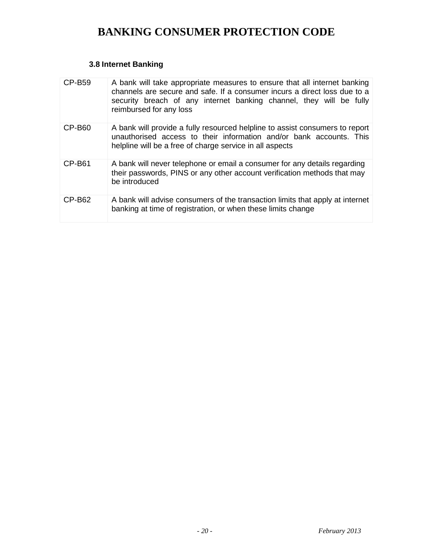### **3.8 Internet Banking**

| CP-B59   | A bank will take appropriate measures to ensure that all internet banking<br>channels are secure and safe. If a consumer incurs a direct loss due to a<br>security breach of any internet banking channel, they will be fully<br>reimbursed for any loss |
|----------|----------------------------------------------------------------------------------------------------------------------------------------------------------------------------------------------------------------------------------------------------------|
| CP-B60   | A bank will provide a fully resourced helpline to assist consumers to report<br>unauthorised access to their information and/or bank accounts. This<br>helpline will be a free of charge service in all aspects                                          |
| $CP-B61$ | A bank will never telephone or email a consumer for any details regarding<br>their passwords, PINS or any other account verification methods that may<br>be introduced                                                                                   |
| CP-B62   | A bank will advise consumers of the transaction limits that apply at internet<br>banking at time of registration, or when these limits change                                                                                                            |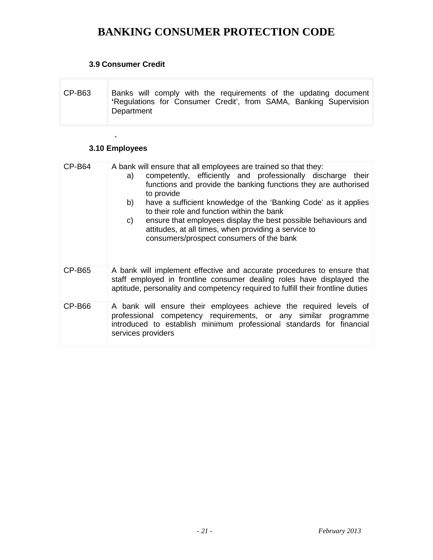### **3.9 Consumer Credit**

| CP-B63 | Banks will comply with the requirements of the updating document  |
|--------|-------------------------------------------------------------------|
|        | 'Regulations for Consumer Credit', from SAMA, Banking Supervision |
|        | Department                                                        |

### **` 3.10 Employees**

| CP-B64        | A bank will ensure that all employees are trained so that they:<br>competently, efficiently and professionally discharge their<br>a)<br>functions and provide the banking functions they are authorised<br>to provide<br>b)<br>have a sufficient knowledge of the 'Banking Code' as it applies<br>to their role and function within the bank<br>ensure that employees display the best possible behaviours and<br>C)<br>attitudes, at all times, when providing a service to<br>consumers/prospect consumers of the bank |
|---------------|--------------------------------------------------------------------------------------------------------------------------------------------------------------------------------------------------------------------------------------------------------------------------------------------------------------------------------------------------------------------------------------------------------------------------------------------------------------------------------------------------------------------------|
| <b>CP-B65</b> | A bank will implement effective and accurate procedures to ensure that<br>staff employed in frontline consumer dealing roles have displayed the<br>aptitude, personality and competency required to fulfill their frontline duties                                                                                                                                                                                                                                                                                       |
| CP-B66        | A bank will ensure their employees achieve the required levels of<br>professional competency requirements, or any similar programme<br>introduced to establish minimum professional standards for financial<br>services providers                                                                                                                                                                                                                                                                                        |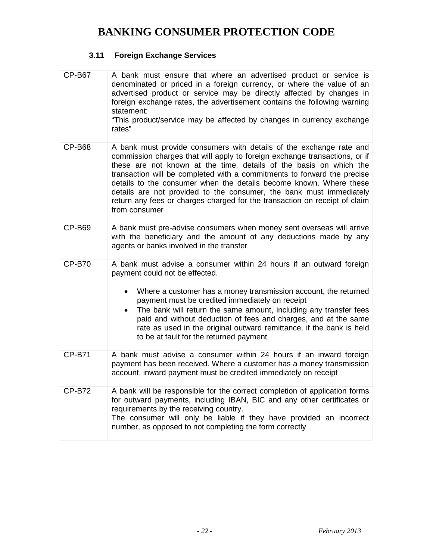### **3.11 Foreign Exchange Services**

| <b>CP-B67</b> | A bank must ensure that where an advertised product or service is<br>denominated or priced in a foreign currency, or where the value of an<br>advertised product or service may be directly affected by changes in<br>foreign exchange rates, the advertisement contains the following warning<br>statement:<br>"This product/service may be affected by changes in currency exchange<br>rates"                                                                                                                                                |
|---------------|------------------------------------------------------------------------------------------------------------------------------------------------------------------------------------------------------------------------------------------------------------------------------------------------------------------------------------------------------------------------------------------------------------------------------------------------------------------------------------------------------------------------------------------------|
| <b>CP-B68</b> | A bank must provide consumers with details of the exchange rate and<br>commission charges that will apply to foreign exchange transactions, or if<br>these are not known at the time, details of the basis on which the<br>transaction will be completed with a commitments to forward the precise<br>details to the consumer when the details become known. Where these<br>details are not provided to the consumer, the bank must immediately<br>return any fees or charges charged for the transaction on receipt of claim<br>from consumer |
| <b>CP-B69</b> | A bank must pre-advise consumers when money sent overseas will arrive<br>with the beneficiary and the amount of any deductions made by any<br>agents or banks involved in the transfer                                                                                                                                                                                                                                                                                                                                                         |
| <b>CP-B70</b> | A bank must advise a consumer within 24 hours if an outward foreign<br>payment could not be effected.                                                                                                                                                                                                                                                                                                                                                                                                                                          |
|               | Where a customer has a money transmission account, the returned<br>payment must be credited immediately on receipt<br>The bank will return the same amount, including any transfer fees<br>paid and without deduction of fees and charges, and at the same<br>rate as used in the original outward remittance, if the bank is held<br>to be at fault for the returned payment                                                                                                                                                                  |
| <b>CP-B71</b> | A bank must advise a consumer within 24 hours if an inward foreign<br>payment has been received. Where a customer has a money transmission<br>account, inward payment must be credited immediately on receipt                                                                                                                                                                                                                                                                                                                                  |
| <b>CP-B72</b> | A bank will be responsible for the correct completion of application forms<br>for outward payments, including IBAN, BIC and any other certificates or<br>requirements by the receiving country.<br>The consumer will only be liable if they have provided an incorrect<br>number, as opposed to not completing the form correctly                                                                                                                                                                                                              |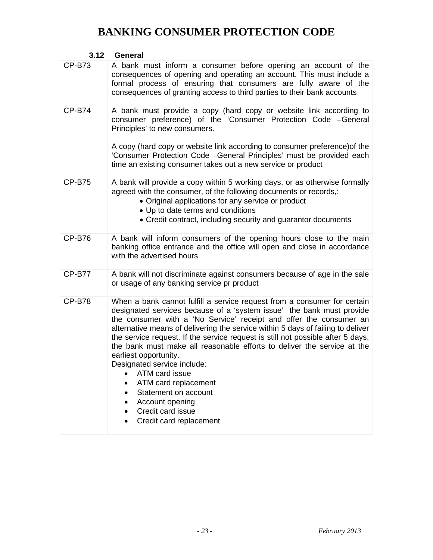### **3.12 General**

| <b>CP-B73</b> | A bank must inform a consumer before opening an account of the<br>consequences of opening and operating an account. This must include a<br>formal process of ensuring that consumers are fully aware of the<br>consequences of granting access to third parties to their bank accounts                                                                                                                                                                                                                                                                                                                                                                                                                                                              |
|---------------|-----------------------------------------------------------------------------------------------------------------------------------------------------------------------------------------------------------------------------------------------------------------------------------------------------------------------------------------------------------------------------------------------------------------------------------------------------------------------------------------------------------------------------------------------------------------------------------------------------------------------------------------------------------------------------------------------------------------------------------------------------|
| <b>CP-B74</b> | A bank must provide a copy (hard copy or website link according to<br>consumer preference) of the 'Consumer Protection Code -General<br>Principles' to new consumers.<br>A copy (hard copy or website link according to consumer preference) of the<br>'Consumer Protection Code -General Principles' must be provided each<br>time an existing consumer takes out a new service or product                                                                                                                                                                                                                                                                                                                                                         |
| <b>CP-B75</b> | A bank will provide a copy within 5 working days, or as otherwise formally<br>agreed with the consumer, of the following documents or records,:<br>• Original applications for any service or product<br>• Up to date terms and conditions<br>• Credit contract, including security and guarantor documents                                                                                                                                                                                                                                                                                                                                                                                                                                         |
| <b>CP-B76</b> | A bank will inform consumers of the opening hours close to the main<br>banking office entrance and the office will open and close in accordance<br>with the advertised hours                                                                                                                                                                                                                                                                                                                                                                                                                                                                                                                                                                        |
| <b>CP-B77</b> | A bank will not discriminate against consumers because of age in the sale<br>or usage of any banking service pr product                                                                                                                                                                                                                                                                                                                                                                                                                                                                                                                                                                                                                             |
| <b>CP-B78</b> | When a bank cannot fulfill a service request from a consumer for certain<br>designated services because of a 'system issue' the bank must provide<br>the consumer with a 'No Service' receipt and offer the consumer an<br>alternative means of delivering the service within 5 days of failing to deliver<br>the service request. If the service request is still not possible after 5 days,<br>the bank must make all reasonable efforts to deliver the service at the<br>earliest opportunity.<br>Designated service include:<br>ATM card issue<br>$\bullet$<br>ATM card replacement<br>$\bullet$<br>Statement on account<br>$\bullet$<br>Account opening<br>$\bullet$<br>Credit card issue<br>$\bullet$<br>Credit card replacement<br>$\bullet$ |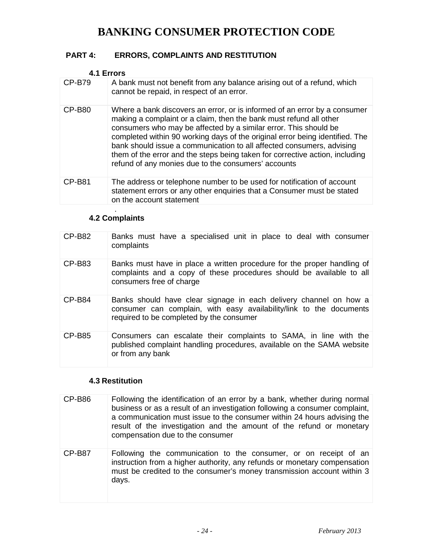### **PART 4: ERRORS, COMPLAINTS AND RESTITUTION**

| 4.1 Errors    |                                                                                                                                                                                                                                                                                                                                                                                                                                                                                                                     |
|---------------|---------------------------------------------------------------------------------------------------------------------------------------------------------------------------------------------------------------------------------------------------------------------------------------------------------------------------------------------------------------------------------------------------------------------------------------------------------------------------------------------------------------------|
| CP-B79        | A bank must not benefit from any balance arising out of a refund, which<br>cannot be repaid, in respect of an error.                                                                                                                                                                                                                                                                                                                                                                                                |
| <b>CP-B80</b> | Where a bank discovers an error, or is informed of an error by a consumer<br>making a complaint or a claim, then the bank must refund all other<br>consumers who may be affected by a similar error. This should be<br>completed within 90 working days of the original error being identified. The<br>bank should issue a communication to all affected consumers, advising<br>them of the error and the steps being taken for corrective action, including<br>refund of any monies due to the consumers' accounts |
| CP-B81        | The address or telephone number to be used for notification of account<br>statement errors or any other enquiries that a Consumer must be stated<br>on the account statement                                                                                                                                                                                                                                                                                                                                        |

#### . **4.2 Complaints**

| $CP-B82$      | Banks must have a specialised unit in place to deal with consumer<br>complaints                                                                                                      |
|---------------|--------------------------------------------------------------------------------------------------------------------------------------------------------------------------------------|
| <b>CP-B83</b> | Banks must have in place a written procedure for the proper handling of<br>complaints and a copy of these procedures should be available to all<br>consumers free of charge          |
| <b>CP-B84</b> | Banks should have clear signage in each delivery channel on how a<br>consumer can complain, with easy availability/link to the documents<br>required to be completed by the consumer |
| CP-B85        | Consumers can escalate their complaints to SAMA, in line with the<br>published complaint handling procedures, available on the SAMA website<br>or from any bank                      |

### **4.3 Restitution**

| CP-B86        | Following the identification of an error by a bank, whether during normal<br>business or as a result of an investigation following a consumer complaint,<br>a communication must issue to the consumer within 24 hours advising the<br>result of the investigation and the amount of the refund or monetary<br>compensation due to the consumer |
|---------------|-------------------------------------------------------------------------------------------------------------------------------------------------------------------------------------------------------------------------------------------------------------------------------------------------------------------------------------------------|
| <b>CP-B87</b> | Following the communication to the consumer, or on receipt of an<br>instruction from a higher authority, any refunds or monetary compensation<br>must be credited to the consumer's money transmission account within 3<br>days.                                                                                                                |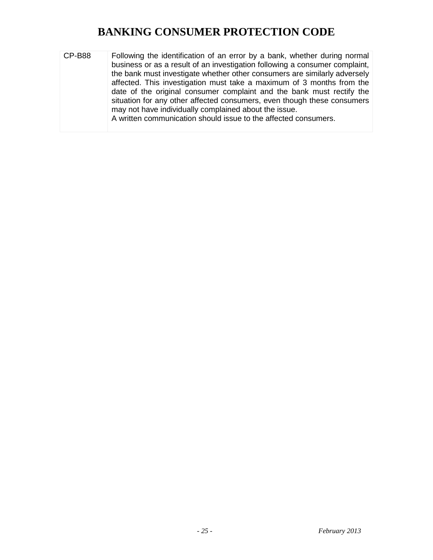CP-B88 Following the identification of an error by a bank, whether during normal business or as a result of an investigation following a consumer complaint, the bank must investigate whether other consumers are similarly adversely affected. This investigation must take a maximum of 3 months from the date of the original consumer complaint and the bank must rectify the situation for any other affected consumers, even though these consumers may not have individually complained about the issue. A written communication should issue to the affected consumers.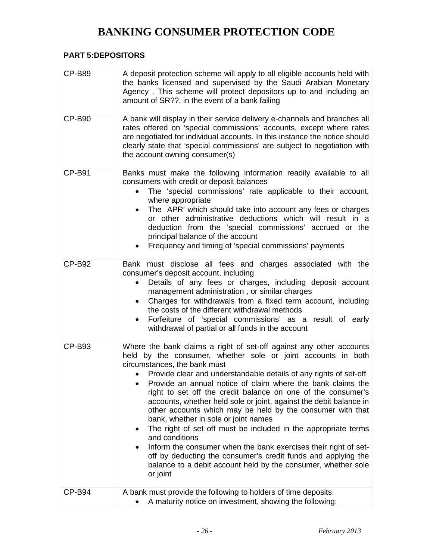### **PART 5:DEPOSITORS**

| <b>CP-B89</b> | A deposit protection scheme will apply to all eligible accounts held with<br>the banks licensed and supervised by the Saudi Arabian Monetary<br>Agency. This scheme will protect depositors up to and including an<br>amount of SR??, in the event of a bank failing                                                                                                                                                                                                                                                                                                                                                                                                                                                                                                                                                                                                       |
|---------------|----------------------------------------------------------------------------------------------------------------------------------------------------------------------------------------------------------------------------------------------------------------------------------------------------------------------------------------------------------------------------------------------------------------------------------------------------------------------------------------------------------------------------------------------------------------------------------------------------------------------------------------------------------------------------------------------------------------------------------------------------------------------------------------------------------------------------------------------------------------------------|
| <b>CP-B90</b> | A bank will display in their service delivery e-channels and branches all<br>rates offered on 'special commissions' accounts, except where rates<br>are negotiated for individual accounts. In this instance the notice should<br>clearly state that 'special commissions' are subject to negotiation with<br>the account owning consumer(s)                                                                                                                                                                                                                                                                                                                                                                                                                                                                                                                               |
| <b>CP-B91</b> | Banks must make the following information readily available to all<br>consumers with credit or deposit balances<br>The 'special commissions' rate applicable to their account,<br>where appropriate<br>The APR' which should take into account any fees or charges<br>or other administrative deductions which will result in a<br>deduction from the 'special commissions' accrued or the<br>principal balance of the account<br>Frequency and timing of 'special commissions' payments                                                                                                                                                                                                                                                                                                                                                                                   |
| <b>CP-B92</b> | Bank must disclose all fees and charges associated with the<br>consumer's deposit account, including<br>Details of any fees or charges, including deposit account<br>$\bullet$<br>management administration, or similar charges<br>Charges for withdrawals from a fixed term account, including<br>$\bullet$<br>the costs of the different withdrawal methods<br>Forfeiture of 'special commissions' as a result of early<br>$\bullet$<br>withdrawal of partial or all funds in the account                                                                                                                                                                                                                                                                                                                                                                                |
| <b>CP-B93</b> | Where the bank claims a right of set-off against any other accounts<br>held by the consumer, whether sole or joint accounts in both<br>circumstances, the bank must<br>Provide clear and understandable details of any rights of set-off<br>$\bullet$<br>Provide an annual notice of claim where the bank claims the<br>right to set off the credit balance on one of the consumer's<br>accounts, whether held sole or joint, against the debit balance in<br>other accounts which may be held by the consumer with that<br>bank, whether in sole or joint names<br>The right of set off must be included in the appropriate terms<br>٠<br>and conditions<br>Inform the consumer when the bank exercises their right of set-<br>off by deducting the consumer's credit funds and applying the<br>balance to a debit account held by the consumer, whether sole<br>or joint |
| <b>CP-B94</b> | A bank must provide the following to holders of time deposits:<br>A maturity notice on investment, showing the following:                                                                                                                                                                                                                                                                                                                                                                                                                                                                                                                                                                                                                                                                                                                                                  |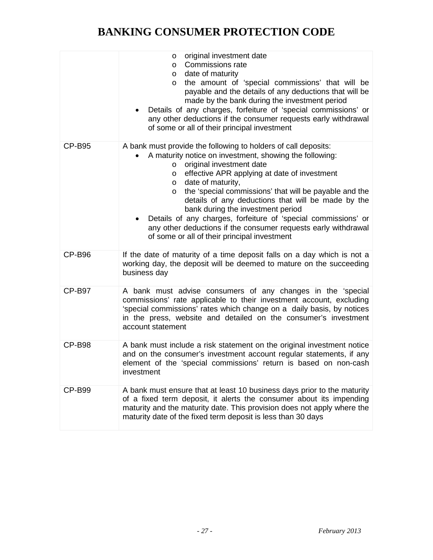|               | original investment date<br>$\circ$<br><b>Commissions rate</b><br>$\circ$<br>date of maturity<br>$\circ$<br>the amount of 'special commissions' that will be<br>$\circ$<br>payable and the details of any deductions that will be<br>made by the bank during the investment period<br>Details of any charges, forfeiture of 'special commissions' or<br>any other deductions if the consumer requests early withdrawal<br>of some or all of their principal investment                                                                                                                                          |
|---------------|-----------------------------------------------------------------------------------------------------------------------------------------------------------------------------------------------------------------------------------------------------------------------------------------------------------------------------------------------------------------------------------------------------------------------------------------------------------------------------------------------------------------------------------------------------------------------------------------------------------------|
| CP-B95        | A bank must provide the following to holders of call deposits:<br>A maturity notice on investment, showing the following:<br>original investment date<br>$\circ$<br>effective APR applying at date of investment<br>$\circ$<br>date of maturity,<br>$\circ$<br>the 'special commissions' that will be payable and the<br>$\circ$<br>details of any deductions that will be made by the<br>bank during the investment period<br>Details of any charges, forfeiture of 'special commissions' or<br>any other deductions if the consumer requests early withdrawal<br>of some or all of their principal investment |
| <b>CP-B96</b> | If the date of maturity of a time deposit falls on a day which is not a<br>working day, the deposit will be deemed to mature on the succeeding<br>business day                                                                                                                                                                                                                                                                                                                                                                                                                                                  |
| <b>CP-B97</b> | A bank must advise consumers of any changes in the 'special<br>commissions' rate applicable to their investment account, excluding<br>'special commissions' rates which change on a daily basis, by notices<br>in the press, website and detailed on the consumer's investment<br>account statement                                                                                                                                                                                                                                                                                                             |
| <b>CP-B98</b> | A bank must include a risk statement on the original investment notice<br>and on the consumer's investment account regular statements, if any<br>element of the 'special commissions' return is based on non-cash<br>investment                                                                                                                                                                                                                                                                                                                                                                                 |
| <b>CP-B99</b> | A bank must ensure that at least 10 business days prior to the maturity<br>of a fixed term deposit, it alerts the consumer about its impending<br>maturity and the maturity date. This provision does not apply where the<br>maturity date of the fixed term deposit is less than 30 days                                                                                                                                                                                                                                                                                                                       |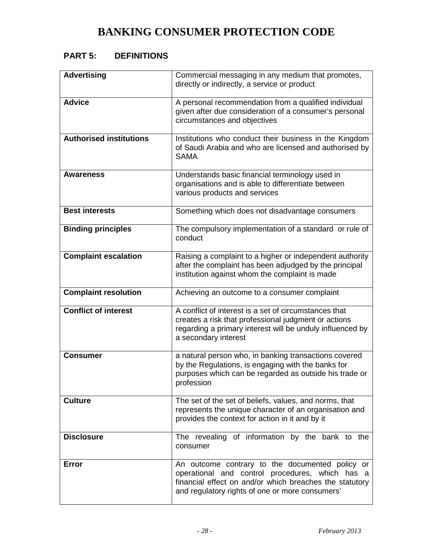### **PART 5: DEFINITIONS**

| <b>Advertising</b>             | Commercial messaging in any medium that promotes,<br>directly or indirectly, a service or product                                                                                                                |
|--------------------------------|------------------------------------------------------------------------------------------------------------------------------------------------------------------------------------------------------------------|
| <b>Advice</b>                  | A personal recommendation from a qualified individual<br>given after due consideration of a consumer's personal<br>circumstances and objectives                                                                  |
| <b>Authorised institutions</b> | Institutions who conduct their business in the Kingdom<br>of Saudi Arabia and who are licensed and authorised by<br><b>SAMA</b>                                                                                  |
| Awareness                      | Understands basic financial terminology used in<br>organisations and is able to differentiate between<br>various products and services                                                                           |
| <b>Best interests</b>          | Something which does not disadvantage consumers                                                                                                                                                                  |
| <b>Binding principles</b>      | The compulsory implementation of a standard or rule of<br>conduct                                                                                                                                                |
| <b>Complaint escalation</b>    | Raising a complaint to a higher or independent authority<br>after the complaint has been adjudged by the principal<br>institution against whom the complaint is made                                             |
| <b>Complaint resolution</b>    | Achieving an outcome to a consumer complaint                                                                                                                                                                     |
| <b>Conflict of interest</b>    | A conflict of interest is a set of circumstances that<br>creates a risk that professional judgment or actions<br>regarding a primary interest will be unduly influenced by<br>a secondary interest               |
| <b>Consumer</b>                | a natural person who, in banking transactions covered<br>by the Regulations, is engaging with the banks for<br>purposes which can be regarded as outside his trade or<br>profession                              |
| <b>Culture</b>                 | The set of the set of beliefs, values, and norms, that<br>represents the unique character of an organisation and<br>provides the context for action in it and by it                                              |
| <b>Disclosure</b>              | The revealing of information by the bank to the<br>consumer                                                                                                                                                      |
| <b>Error</b>                   | An outcome contrary to the documented policy or<br>operational and control procedures, which has a<br>financial effect on and/or which breaches the statutory<br>and regulatory rights of one or more consumers' |